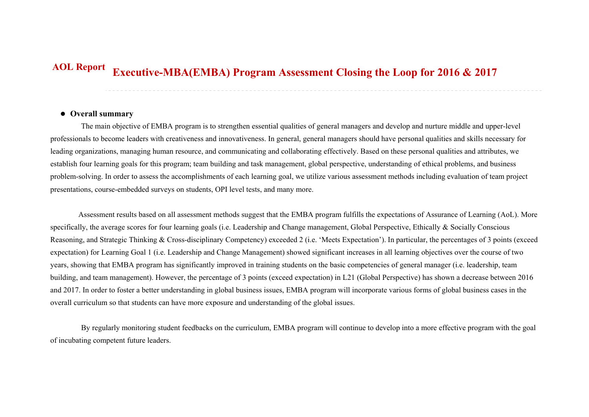## **Executive-MBA(EMBA) Program Assessment Closing the Loop for 2016 & 2017 AOL Report**

## **Overall summary**

The main objective of EMBA program is to strengthen essential qualities of general managers and develop and nurture middle and upper-level professionals to become leaders with creativeness and innovativeness. In general, general managers should have personal qualities and skills necessary for leading organizations, managing human resource, and communicating and collaborating effectively. Based on these personal qualities and attributes, we establish four learning goals for this program; team building and task management, global perspective, understanding of ethical problems, and business problem-solving. In order to assess the accomplishments of each learning goal, we utilize various assessment methods including evaluation of team project presentations, course-embedded surveys on students, OPI level tests, and many more.

Assessment results based on all assessment methods suggest that the EMBA program fulfills the expectations of Assurance of Learning (AoL). More specifically, the average scores for four learning goals (i.e. Leadership and Change management, Global Perspective, Ethically & Socially Conscious Reasoning, and Strategic Thinking & Cross-disciplinary Competency) exceeded 2 (i.e. 'Meets Expectation'). In particular, the percentages of 3 points (exceed expectation) for Learning Goal 1 (i.e. Leadership and Change Management) showed significant increases in all learning objectives over the course of two years, showing that EMBA program has significantly improved in training students on the basic competencies of general manager (i.e. leadership, team building, and team management). However, the percentage of 3 points (exceed expectation) in L21 (Global Perspective) has shown a decrease between 2016 and 2017. In order to foster a better understanding in global business issues, EMBA program will incorporate various forms of global business cases in the overall curriculum so that students can have more exposure and understanding of the global issues.

By regularly monitoring student feedbacks on the curriculum, EMBA program will continue to develop into a more effective program with the goal of incubating competent future leaders.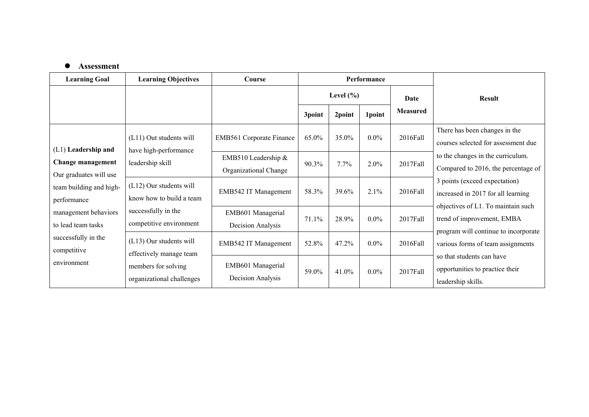## **Assessment**

| <b>Learning Goal</b>                               | <b>Learning Objectives</b>                            | Course                                       | <b>Performance</b> |         |         |                 |                                                                                                          |
|----------------------------------------------------|-------------------------------------------------------|----------------------------------------------|--------------------|---------|---------|-----------------|----------------------------------------------------------------------------------------------------------|
|                                                    |                                                       |                                              | Level $(\% )$      |         | Date    | <b>Result</b>   |                                                                                                          |
|                                                    |                                                       |                                              | 3point             | 2point  | 1point  | <b>Measured</b> |                                                                                                          |
| (L1) Leadership and                                | (L11) Out students will<br>have high-performance      | EMB561 Corporate Finance                     | 65.0%              | 35.0%   | $0.0\%$ | 2016Fall        | There has been changes in the<br>courses selected for assessment due                                     |
| <b>Change management</b><br>Our graduates will use | leadership skill                                      | EMB510 Leadership &<br>Organizational Change | 90.3%              | $7.7\%$ | 2.0%    | 2017Fall        | to the changes in the curriculum.<br>Compared to 2016, the percentage of                                 |
| team building and high-<br>performance             | $(L12)$ Our students will<br>know how to build a team | EMB542 IT Management                         | 58.3%              | 39.6%   | 2.1%    | 2016Fall        | 3 points (exceed expectation)<br>increased in 2017 for all learning                                      |
| management behaviors<br>to lead team tasks         | successfully in the<br>competitive environment        | EMB601 Managerial<br>Decision Analysis       | 71.1%              | 28.9%   | $0.0\%$ | 2017Fall        | objectives of L1. To maintain such<br>trend of improvement, EMBA<br>program will continue to incorporate |
| successfully in the<br>competitive                 | (L13) Our students will<br>effectively manage team    | EMB542 IT Management                         | 52.8%              | 47.2%   | $0.0\%$ | 2016Fall        | various forms of team assignments<br>so that students can have                                           |
| environment                                        | members for solving<br>organizational challenges      | EMB601 Managerial<br>Decision Analysis       | 59.0%              | 41.0%   | $0.0\%$ | 2017Fall        | opportunities to practice their<br>leadership skills.                                                    |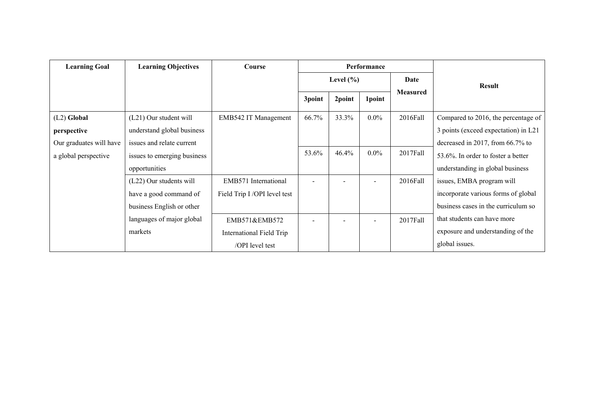| <b>Learning Goal</b>    | <b>Learning Objectives</b>  | Course                       | Performance   |                          |         |                 |                                      |
|-------------------------|-----------------------------|------------------------------|---------------|--------------------------|---------|-----------------|--------------------------------------|
|                         |                             |                              | Level $(\% )$ |                          |         | Date            | <b>Result</b>                        |
|                         |                             |                              | 3point        | 2point                   | 1point  | <b>Measured</b> |                                      |
| $(L2)$ Global           | (L21) Our student will      | EMB542 IT Management         | 66.7%         | 33.3%                    | $0.0\%$ | 2016Fall        | Compared to 2016, the percentage of  |
| perspective             | understand global business  |                              |               |                          |         |                 | 3 points (exceed expectation) in L21 |
| Our graduates will have | issues and relate current   |                              |               |                          |         |                 | decreased in 2017, from 66.7% to     |
| a global perspective    | issues to emerging business |                              | 53.6%         | 46.4%                    | $0.0\%$ | 2017Fall        | 53.6%. In order to foster a better   |
|                         | opportunities               |                              |               |                          |         |                 | understanding in global business     |
|                         | (L22) Our students will     | EMB571 International         |               |                          |         | 2016Fall        | issues, EMBA program will            |
|                         | have a good command of      | Field Trip I /OPI level test |               |                          |         |                 | incorporate various forms of global  |
|                         | business English or other   |                              |               |                          |         |                 | business cases in the curriculum so  |
|                         | languages of major global   | EMB571&EMB572                | Ξ.            | $\overline{\phantom{a}}$ |         | 2017Fall        | that students can have more          |
|                         | markets                     | International Field Trip     |               |                          |         |                 | exposure and understanding of the    |
|                         |                             | /OPI level test              |               |                          |         |                 | global issues.                       |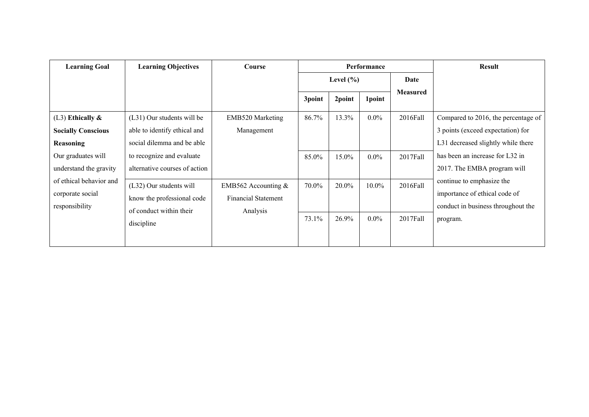| <b>Learning Goal</b>                                                                                                                                            | <b>Learning Objectives</b>                                                               | Course                         | Performance   |          |          | <b>Result</b>                                                                                    |                                                                                                                |
|-----------------------------------------------------------------------------------------------------------------------------------------------------------------|------------------------------------------------------------------------------------------|--------------------------------|---------------|----------|----------|--------------------------------------------------------------------------------------------------|----------------------------------------------------------------------------------------------------------------|
|                                                                                                                                                                 |                                                                                          |                                | Level $(\% )$ |          |          | Date                                                                                             |                                                                                                                |
|                                                                                                                                                                 |                                                                                          |                                | 3point        | 2point   | 1point   | <b>Measured</b>                                                                                  |                                                                                                                |
| $(L3)$ Ethically &<br><b>Socially Conscious</b><br>Reasoning                                                                                                    | (L31) Our students will be<br>able to identify ethical and<br>social dilemma and be able | EMB520 Marketing<br>Management | 86.7%         | 13.3%    | $0.0\%$  | 2016Fall                                                                                         | Compared to 2016, the percentage of<br>3 points (exceed expectation) for<br>L31 decreased slightly while there |
| Our graduates will<br>understand the gravity                                                                                                                    | to recognize and evaluate<br>alternative courses of action                               |                                | 85.0%         | 15.0%    | $0.0\%$  | 2017Fall                                                                                         | has been an increase for L32 in<br>2017. The EMBA program will                                                 |
| of ethical behavior and<br>(L32) Our students will<br>corporate social<br>know the professional code<br>responsibility<br>of conduct within their<br>discipline | EMB562 Accounting $&$<br><b>Financial Statement</b><br>Analysis                          | 70.0%                          | 20.0%         | $10.0\%$ | 2016Fall | continue to emphasize the<br>importance of ethical code of<br>conduct in business throughout the |                                                                                                                |
|                                                                                                                                                                 |                                                                                          |                                | 73.1%         | 26.9%    | $0.0\%$  | 2017Fall                                                                                         | program.                                                                                                       |